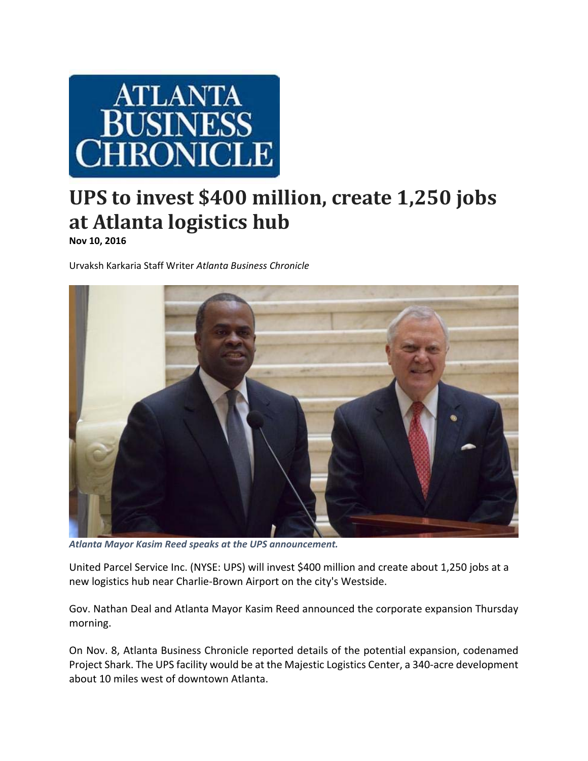

## **UPS to invest \$400 million, create 1,250 jobs at Atlanta logistics hub**

**Nov 10, 2016**

Urvaksh Karkaria Staff Writer *Atlanta Business Chronicle*



*Atlanta Mayor Kasim Reed speaks at the UPS announcement.*

United Parcel Service Inc. (NYSE: UPS) will invest \$400 million and create about 1,250 jobs at a new logistics hub near Charlie‐Brown Airport on the city's Westside.

Gov. Nathan Deal and Atlanta Mayor Kasim Reed announced the corporate expansion Thursday morning.

On Nov. 8, Atlanta Business Chronicle reported details of the potential expansion, codenamed Project Shark. The UPS facility would be at the Majestic Logistics Center, a 340‐acre development about 10 miles west of downtown Atlanta.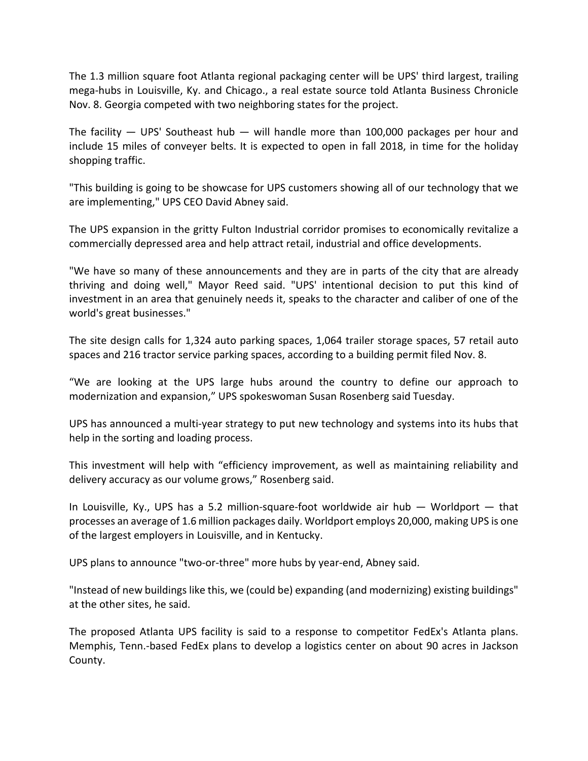The 1.3 million square foot Atlanta regional packaging center will be UPS' third largest, trailing mega‐hubs in Louisville, Ky. and Chicago., a real estate source told Atlanta Business Chronicle Nov. 8. Georgia competed with two neighboring states for the project.

The facility  $-$  UPS' Southeast hub  $-$  will handle more than 100,000 packages per hour and include 15 miles of conveyer belts. It is expected to open in fall 2018, in time for the holiday shopping traffic.

"This building is going to be showcase for UPS customers showing all of our technology that we are implementing," UPS CEO David Abney said.

The UPS expansion in the gritty Fulton Industrial corridor promises to economically revitalize a commercially depressed area and help attract retail, industrial and office developments.

"We have so many of these announcements and they are in parts of the city that are already thriving and doing well," Mayor Reed said. "UPS' intentional decision to put this kind of investment in an area that genuinely needs it, speaks to the character and caliber of one of the world's great businesses."

The site design calls for 1,324 auto parking spaces, 1,064 trailer storage spaces, 57 retail auto spaces and 216 tractor service parking spaces, according to a building permit filed Nov. 8.

"We are looking at the UPS large hubs around the country to define our approach to modernization and expansion," UPS spokeswoman Susan Rosenberg said Tuesday.

UPS has announced a multi-year strategy to put new technology and systems into its hubs that help in the sorting and loading process.

This investment will help with "efficiency improvement, as well as maintaining reliability and delivery accuracy as our volume grows," Rosenberg said.

In Louisville, Ky., UPS has a 5.2 million-square-foot worldwide air hub  $-$  Worldport  $-$  that processes an average of 1.6 million packages daily. Worldport employs 20,000, making UPS is one of the largest employers in Louisville, and in Kentucky.

UPS plans to announce "two‐or‐three" more hubs by year‐end, Abney said.

"Instead of new buildings like this, we (could be) expanding (and modernizing) existing buildings" at the other sites, he said.

The proposed Atlanta UPS facility is said to a response to competitor FedEx's Atlanta plans. Memphis, Tenn.‐based FedEx plans to develop a logistics center on about 90 acres in Jackson County.